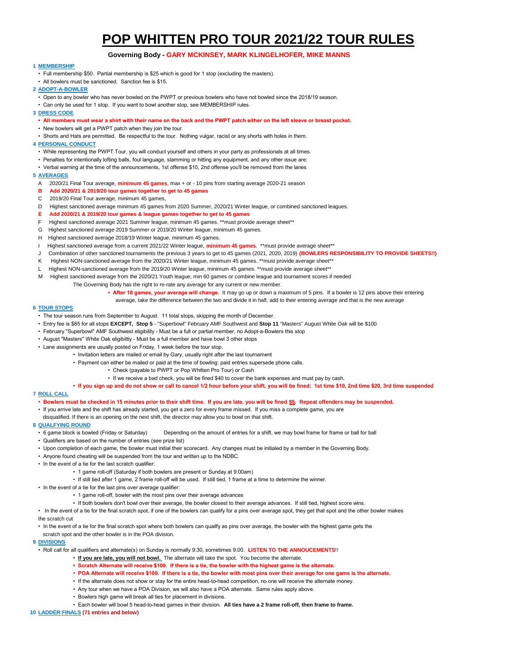# **POP WHITTEN PRO TOUR 2021/22 TOUR RULES**

# **Governing Body - GARY MCKINSEY, MARK KLINGELHOFER, MIKE MANNS**

## **1 MEMBERSHIP**

- Full membership \$50. Partial membership is \$25 which is good for 1 stop (excluding the masters).
- **2 ADOPT-A-BOWLER**
- Open to any bowler who has never bowled on the PWPT or previous bowlers who have not bowled since the 2018/19 season.
- Can only be used for 1 stop. If you want to bowl another stop, see MEMBERSHIP rules.

**3 DRESS CODE**

- **All members must wear a shirt with their name on the back and the PWPT patch either on the left sleeve or breast pocket.**
- New bowlers will get a PWPT patch when they join the tour.

• All bowlers must be sanctioned. Sanction fee is \$15.

• Shorts and Hats are permitted. Be respectful to the tour. Nothing vulgar, racist or any shorts with holes in them.

### **4 PERSONAL CONDUCT**

- While representing the PWPT Tour, you will conduct yourself and others in your party as professionals at all times.
- Penalties for intentionally lofting balls, foul language, slamming or hitting any equipment, and any other issue are:
- Verbal warning at the time of the announcements, 1st offense \$10, 2nd offense you'll be removed from the lanes

### **5 AVERAGES**

- A 2020/21 Final Tour average, **minimum 45 games**, max + or 10 pins from starting average 2020-21 season
- **B Add 2020/21 & 2019/20 tour games together to get to 45 games**
- C 2019/20 Final Tour average, minimum 45 games,
- D Highest sanctioned average minimum 45 games from 2020 Summer, 2020/21 Winter league, or combined sanctioned leagues.
- **E Add 2020/21 & 2019/20 tour games & league games together to get to 45 games**
- F Highest sanctioned average 2021 Summer league, minimum 45 games. \*\*must provide average sheet\*\*
- G Highest sanctioned average 2019 Summer or 2019/20 Winter league, minimum 45 games.
- H Highest sanctioned average 2018/19 Winter league, minimum 45 games.
- I Highest sanctioned average from a current 2021/22 Winter league, **minimum 45 games**. \*\*must provide average sheet\*\*
- J Combination of other sanctioned tournaments the previous 3 years to get to 45 games (2021, 2020, 2019) **(BOWLERS RESPONSIBILITY TO PROVIDE SHEETS!!)**
- K Highest NON-sanctioned average from the 2020/21 Winter league, minimum 45 games. \*\*must provide average sheet\*\*
- L Highest NON-sanctioned average from the 2019/20 Winter league, minimum 45 games. \*\*must provide average sheet\*\*
- M Highest sanctioned average from the 2020/21 Youth league, min 60 games or combine league and tournament scores if needed
	- The Governing Body has the right to re-rate any average for any current or new member.
		- **After 18 games, your average will change.** It may go up or down a maximum of 5 pins. If a bowler is 12 pins above their entering
		- average, take the difference between the two and divide it in half, add to their entering average and that is the new average

### **6 TOUR STOPS**

- The tour season runs from September to August. 11 total stops, skipping the month of December.
- Entry fee is \$85 for all stops **EXCEPT, Stop 5** "Superbowl" February AMF Southwest and **Stop 11** "Masters" August White Oak will be \$100.
- February "Superbowl" AMF Southwest eligibility Must be a full or partial member, no Adopt-a-Bowlers this stop
- August "Masters" White Oak eligibiltiy Must be a full member and have bowl 3 other stops
- Lane assignments are usually posted on Friday, 1 week before the tour stop.
	- Invitation letters are mailed or email by Gary, usually right after the last tournament
	- Payment can either be mailed or paid at the time of bowling: paid entries supersede phone calls.
		- Check (payable to PWPT or Pop Whitten Pro Tour) or Cash
		- If we receive a bad check, you will be fined \$40 to cover the bank expenses and must pay by cash.
	- **If you sign up and do not show or call to cancel 1/2 hour before your shift, you will be fined: 1st time \$10, 2nd time \$20, 3rd time suspended**

## **7 ROLL CALL**

- **Bowlers must be checked in 15 minutes prior to their shift time. If you are late, you will be fined \$5. Repeat offenders may be suspended.**
- If you arrive late and the shift has already started, you get a zero for every frame missed. If you miss a complete game, you are
- disqualified. If there is an opening on the next shift, the director may allow you to bowl on that shift.

### **8 QUALFYING ROUND**

- 6 game block is bowled (Friday or Saturday) Depending on the amount of entries for a shift, we may bowl frame for frame or ball for ball
- Qualifiers are based on the number of entries (see prize list)
- Upon completion of each game, the bowler must initial their scorecard. Any changes must be initialed by a member in the Governing Body.
- Anyone found cheating will be suspended from the tour and written up to the NDBC.
- In the event of a tie for the last scratch qualifier:
	- 1 game roll-off (Saturday if both bowlers are present or Sunday at 9:00am)
	- If still tied after 1 game, 2 frame roll-off will be used. If still tied, 1 frame at a time to determine the winner.
- In the event of a tie for the last pins over average qualifier:
	- 1 game roll-off, bowler with the most pins over their average advances
	- If both bowlers don't bowl over their average, the bowler closest to their average advances. If still tied, highest score wins.
- In the event of a tie for the final scratch spot, if one of the bowlers can qualify for a pins over average spot, they get that spot and the other bowler makes the scratch cut

• In the event of a tie for the final scratch spot where both bowlers can quailfy as pins over average, the bowler with the highest game gets the scratch spot and the other bowler is in the POA division.

## **9 DIVISIONS**

- Roll call for all qualifiers and alternate(s) on Sunday is normally 9:30, sometimes 9:00. **LISTEN TO THE ANNOUCEMENTS**!!
	- **If you are late, you will not bowl.** The alternate will take the spot. You become the alternate.
	- **Scratch Alternate will receive \$100. If there is a tie, the bowler with the highest game is the alternate.**
	- **POA Alternate will receive \$100. If there is a tie, the bowler with most pins over their average for one game is the alternate.**
	- If the alternate does not show or stay for the entire head-to-head competition, no one will receive the alternate money.
	- Any tour when we have a POA Division, we will also have a POA alternate. Same rules apply above.
	- Bowlers high game will break all ties for placement in divisions.
	- Each bowler will bowl 5 head-to-head games in their division. **All ties have a 2 frame roll-off, then frame to frame.**

### **10 LADDER FINALS (71 entries and below)**